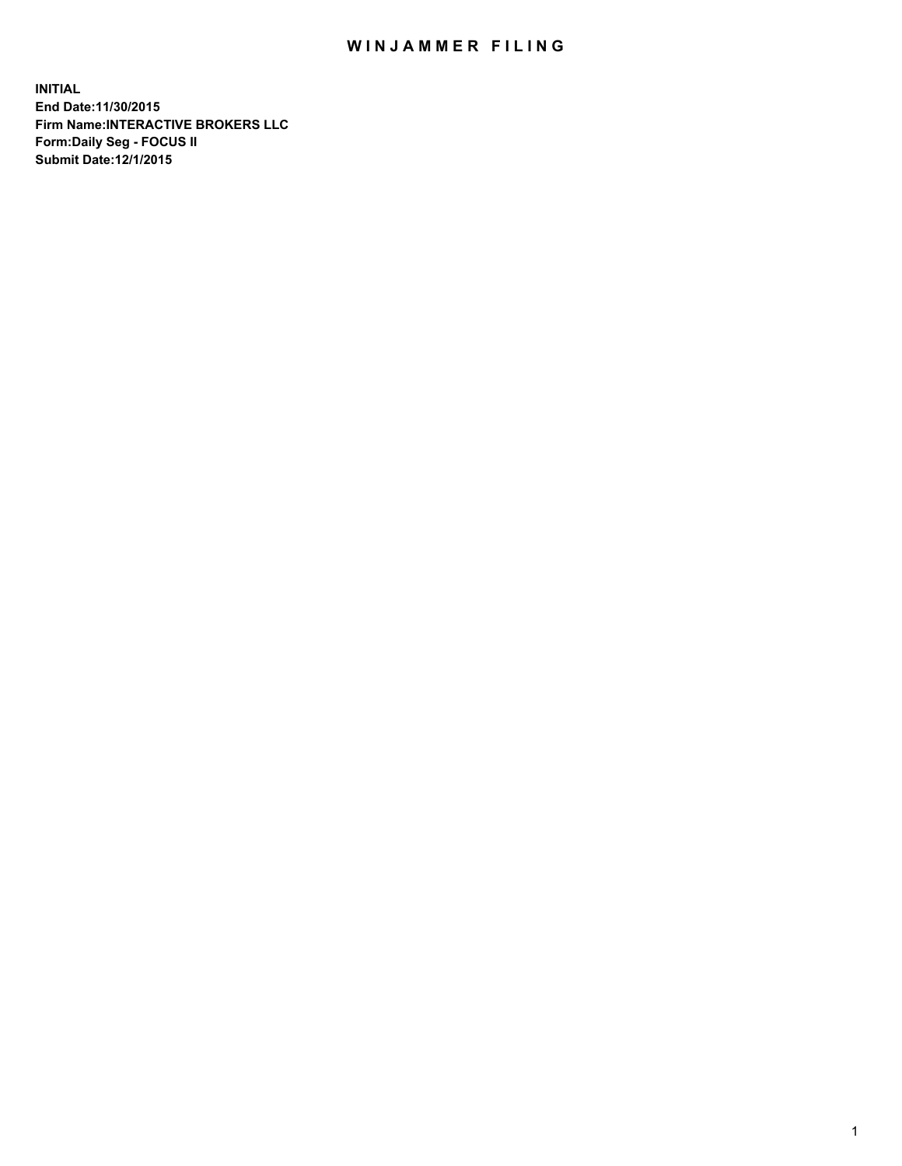## WIN JAMMER FILING

**INITIAL End Date:11/30/2015 Firm Name:INTERACTIVE BROKERS LLC Form:Daily Seg - FOCUS II Submit Date:12/1/2015**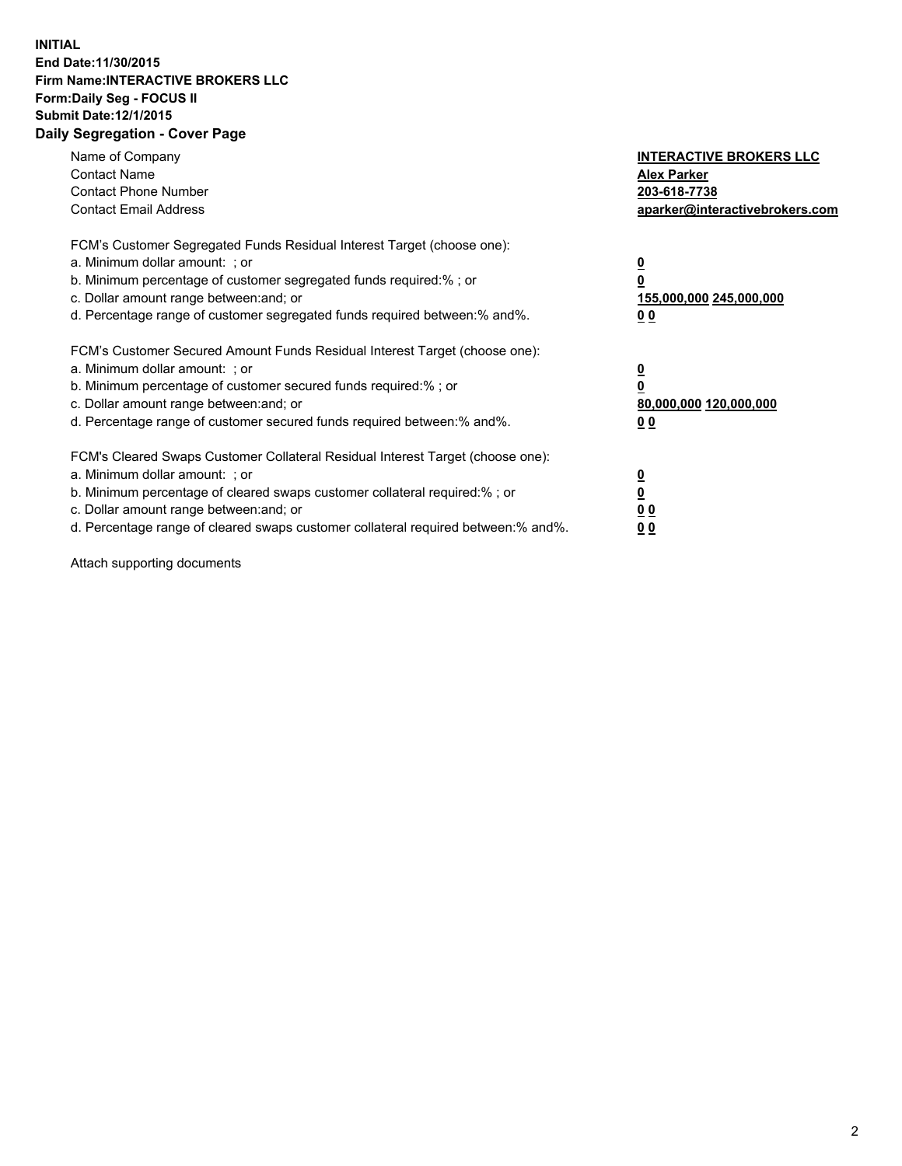## **INITIAL End Date:11/30/2015 Firm Name:INTERACTIVE BROKERS LLC Form:Daily Seg - FOCUS II Submit Date:12/1/2015 Daily Segregation - Cover Page**

| Name of Company<br><b>Contact Name</b><br><b>Contact Phone Number</b><br><b>Contact Email Address</b>                                                                                                                                                                                                                          | <b>INTERACTIVE BROKERS LLC</b><br><b>Alex Parker</b><br>203-618-7738<br>aparker@interactivebrokers.com |
|--------------------------------------------------------------------------------------------------------------------------------------------------------------------------------------------------------------------------------------------------------------------------------------------------------------------------------|--------------------------------------------------------------------------------------------------------|
| FCM's Customer Segregated Funds Residual Interest Target (choose one):<br>a. Minimum dollar amount: ; or<br>b. Minimum percentage of customer segregated funds required:% ; or<br>c. Dollar amount range between: and; or<br>d. Percentage range of customer segregated funds required between:% and%.                         | <u>0</u><br><u>155,000,000 245,000,000</u><br>00                                                       |
| FCM's Customer Secured Amount Funds Residual Interest Target (choose one):<br>a. Minimum dollar amount: ; or<br>b. Minimum percentage of customer secured funds required:%; or<br>c. Dollar amount range between: and; or<br>d. Percentage range of customer secured funds required between: % and %.                          | <u>0</u><br>80,000,000 120,000,000<br>0 <sub>0</sub>                                                   |
| FCM's Cleared Swaps Customer Collateral Residual Interest Target (choose one):<br>a. Minimum dollar amount: ; or<br>b. Minimum percentage of cleared swaps customer collateral required:% ; or<br>c. Dollar amount range between: and; or<br>d. Percentage range of cleared swaps customer collateral required between:% and%. | <u>0</u><br>0 <sub>0</sub><br><u>0 0</u>                                                               |

Attach supporting documents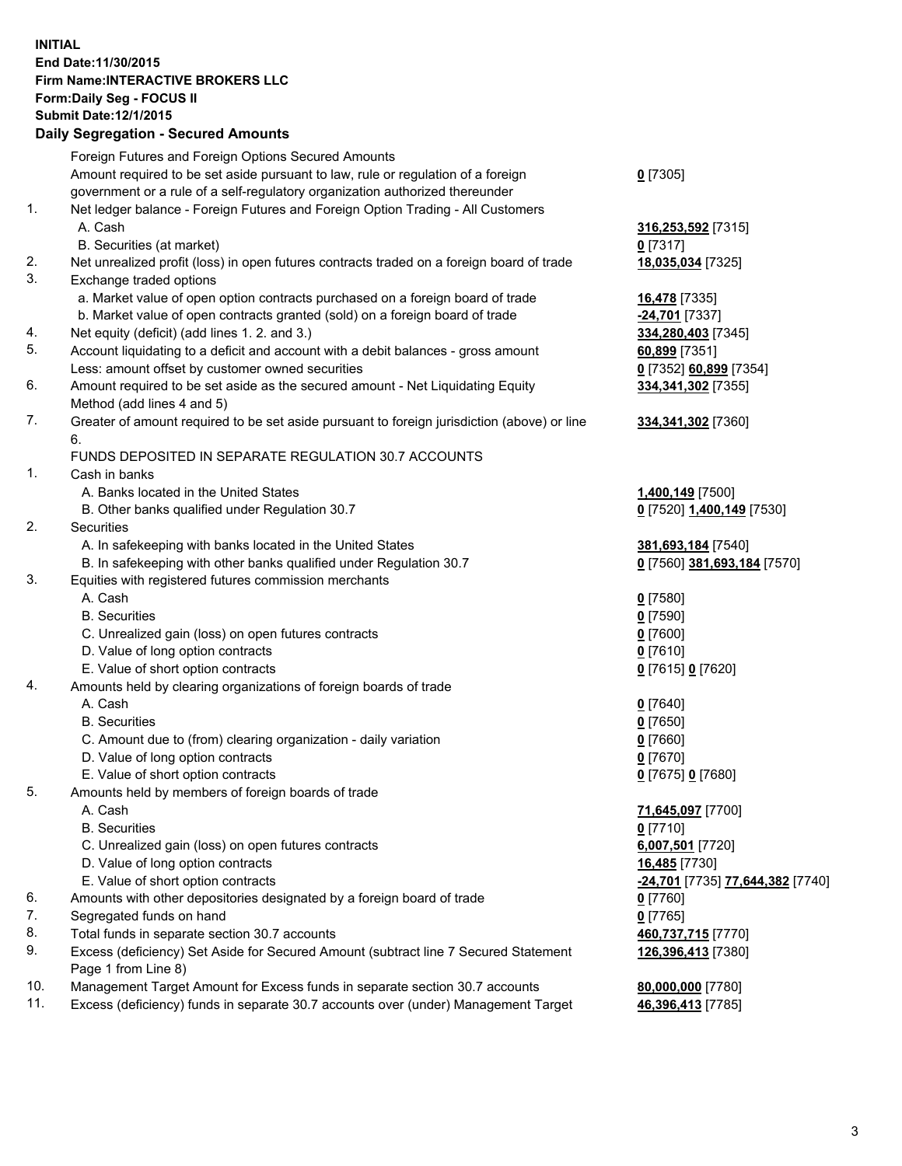## **INITIAL End Date:11/30/2015 Firm Name:INTERACTIVE BROKERS LLC Form:Daily Seg - FOCUS II Submit Date:12/1/2015 Daily Segregation - Secured Amounts**

|                | Daily Segregation - Secured Amounts                                                                        |                                  |
|----------------|------------------------------------------------------------------------------------------------------------|----------------------------------|
|                | Foreign Futures and Foreign Options Secured Amounts                                                        |                                  |
|                | Amount required to be set aside pursuant to law, rule or regulation of a foreign                           | $0$ [7305]                       |
|                | government or a rule of a self-regulatory organization authorized thereunder                               |                                  |
| $\mathbf{1}$ . | Net ledger balance - Foreign Futures and Foreign Option Trading - All Customers                            |                                  |
|                | A. Cash                                                                                                    | 316,253,592 [7315]               |
|                | B. Securities (at market)                                                                                  | $0$ [7317]                       |
| 2.             | Net unrealized profit (loss) in open futures contracts traded on a foreign board of trade                  | 18,035,034 [7325]                |
| 3.             | Exchange traded options                                                                                    |                                  |
|                | a. Market value of open option contracts purchased on a foreign board of trade                             | <b>16,478</b> [7335]             |
|                | b. Market value of open contracts granted (sold) on a foreign board of trade                               | -24,701 [7337]                   |
| 4.             | Net equity (deficit) (add lines 1.2. and 3.)                                                               | 334,280,403 [7345]               |
| 5.             | Account liquidating to a deficit and account with a debit balances - gross amount                          | 60,899 [7351]                    |
|                | Less: amount offset by customer owned securities                                                           | 0 [7352] 60,899 [7354]           |
| 6.             | Amount required to be set aside as the secured amount - Net Liquidating Equity                             | 334, 341, 302 [7355]             |
|                | Method (add lines 4 and 5)                                                                                 |                                  |
| 7.             | Greater of amount required to be set aside pursuant to foreign jurisdiction (above) or line                | 334, 341, 302 [7360]             |
|                | 6.                                                                                                         |                                  |
|                | FUNDS DEPOSITED IN SEPARATE REGULATION 30.7 ACCOUNTS                                                       |                                  |
| 1.             | Cash in banks                                                                                              |                                  |
|                | A. Banks located in the United States                                                                      | 1,400,149 [7500]                 |
|                | B. Other banks qualified under Regulation 30.7                                                             | 0 [7520] 1,400,149 [7530]        |
| 2.             | Securities                                                                                                 |                                  |
|                | A. In safekeeping with banks located in the United States                                                  | 381,693,184 [7540]               |
|                | B. In safekeeping with other banks qualified under Regulation 30.7                                         | 0 [7560] 381,693,184 [7570]      |
| 3.             | Equities with registered futures commission merchants                                                      |                                  |
|                | A. Cash                                                                                                    | $0$ [7580]                       |
|                | <b>B.</b> Securities                                                                                       | $0$ [7590]                       |
|                | C. Unrealized gain (loss) on open futures contracts                                                        | $0$ [7600]                       |
|                | D. Value of long option contracts                                                                          | $0$ [7610]                       |
|                | E. Value of short option contracts                                                                         | 0 [7615] 0 [7620]                |
| 4.             | Amounts held by clearing organizations of foreign boards of trade                                          |                                  |
|                | A. Cash                                                                                                    | $0$ [7640]                       |
|                | <b>B.</b> Securities                                                                                       | $0$ [7650]                       |
|                | C. Amount due to (from) clearing organization - daily variation                                            | $0$ [7660]                       |
|                | D. Value of long option contracts                                                                          | $0$ [7670]                       |
|                | E. Value of short option contracts                                                                         | 0 [7675] 0 [7680]                |
| 5.             | Amounts held by members of foreign boards of trade                                                         |                                  |
|                | A. Cash                                                                                                    | 71,645,097 [7700]                |
|                | <b>B.</b> Securities                                                                                       | $0$ [7710]                       |
|                | C. Unrealized gain (loss) on open futures contracts                                                        | 6,007,501 [7720]                 |
|                | D. Value of long option contracts                                                                          | 16,485 [7730]                    |
|                | E. Value of short option contracts                                                                         | -24,701 [7735] 77,644,382 [7740] |
| 6.             | Amounts with other depositories designated by a foreign board of trade                                     | 0 [7760]                         |
| 7.             | Segregated funds on hand                                                                                   | $0$ [7765]                       |
| 8.             | Total funds in separate section 30.7 accounts                                                              | 460,737,715 [7770]               |
| 9.             | Excess (deficiency) Set Aside for Secured Amount (subtract line 7 Secured Statement<br>Page 1 from Line 8) | 126,396,413 [7380]               |
| 10.            | Management Target Amount for Excess funds in separate section 30.7 accounts                                | 80,000,000 [7780]                |
| 11.            | Excess (deficiency) funds in separate 30.7 accounts over (under) Management Target                         | 46,396,413 [7785]                |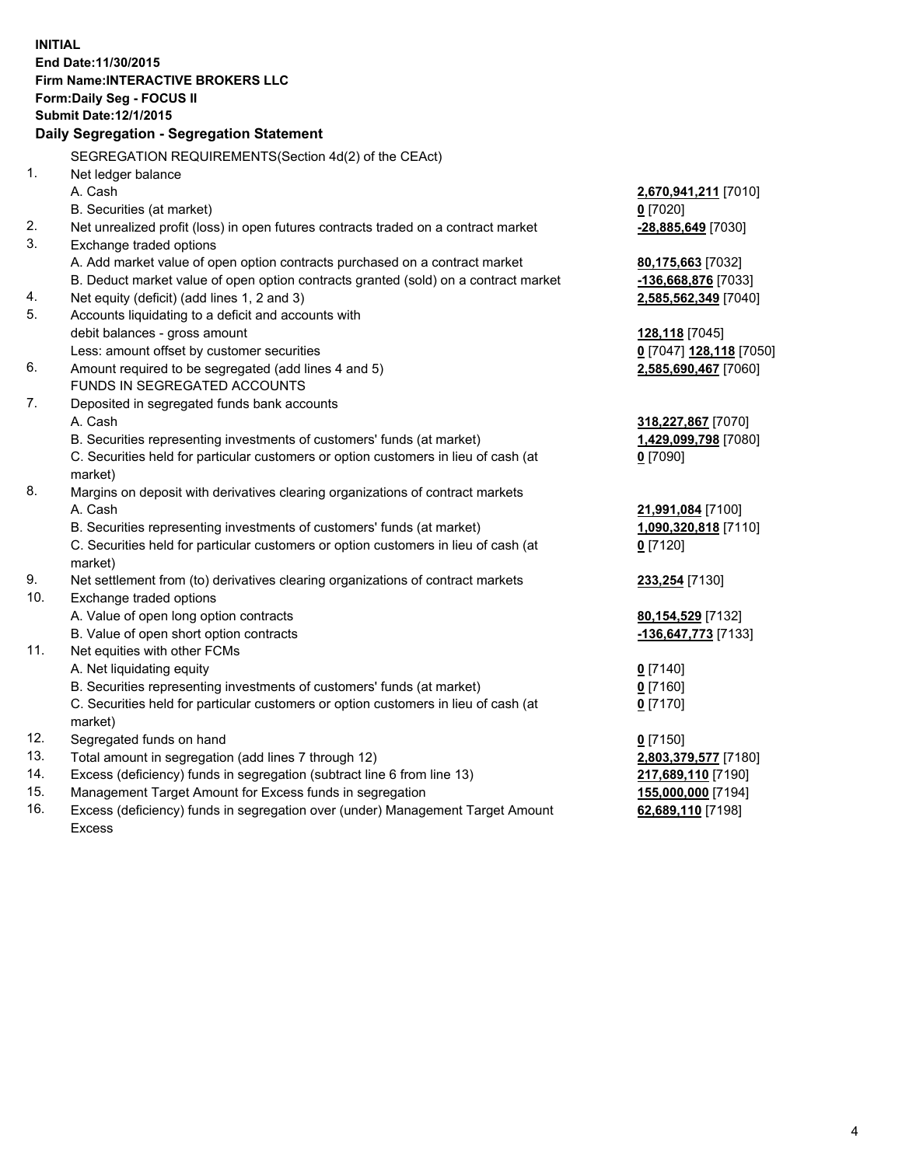**INITIAL End Date:11/30/2015 Firm Name:INTERACTIVE BROKERS LLC Form:Daily Seg - FOCUS II Submit Date:12/1/2015 Daily Segregation - Segregation Statement** SEGREGATION REQUIREMENTS(Section 4d(2) of the CEAct) 1. Net ledger balance A. Cash **2,670,941,211** [7010] B. Securities (at market) **0** [7020] 2. Net unrealized profit (loss) in open futures contracts traded on a contract market **-28,885,649** [7030] 3. Exchange traded options A. Add market value of open option contracts purchased on a contract market **80,175,663** [7032] B. Deduct market value of open option contracts granted (sold) on a contract market **-136,668,876** [7033] 4. Net equity (deficit) (add lines 1, 2 and 3) **2,585,562,349** [7040] 5. Accounts liquidating to a deficit and accounts with debit balances - gross amount **128,118** [7045] Less: amount offset by customer securities **0** [7047] **128,118** [7050] 6. Amount required to be segregated (add lines 4 and 5) **2,585,690,467** [7060] FUNDS IN SEGREGATED ACCOUNTS 7. Deposited in segregated funds bank accounts A. Cash **318,227,867** [7070] B. Securities representing investments of customers' funds (at market) **1,429,099,798** [7080] C. Securities held for particular customers or option customers in lieu of cash (at market) **0** [7090] 8. Margins on deposit with derivatives clearing organizations of contract markets A. Cash **21,991,084** [7100] B. Securities representing investments of customers' funds (at market) **1,090,320,818** [7110] C. Securities held for particular customers or option customers in lieu of cash (at market) **0** [7120] 9. Net settlement from (to) derivatives clearing organizations of contract markets **233,254** [7130] 10. Exchange traded options A. Value of open long option contracts **80,154,529** [7132] B. Value of open short option contracts **-136,647,773** [7133] 11. Net equities with other FCMs A. Net liquidating equity **0** [7140] B. Securities representing investments of customers' funds (at market) **0** [7160] C. Securities held for particular customers or option customers in lieu of cash (at market) **0** [7170] 12. Segregated funds on hand **0** [7150] 13. Total amount in segregation (add lines 7 through 12) **2,803,379,577** [7180] 14. Excess (deficiency) funds in segregation (subtract line 6 from line 13) **217,689,110** [7190] 15. Management Target Amount for Excess funds in segregation **155,000,000** [7194] **62,689,110** [7198]

16. Excess (deficiency) funds in segregation over (under) Management Target Amount Excess